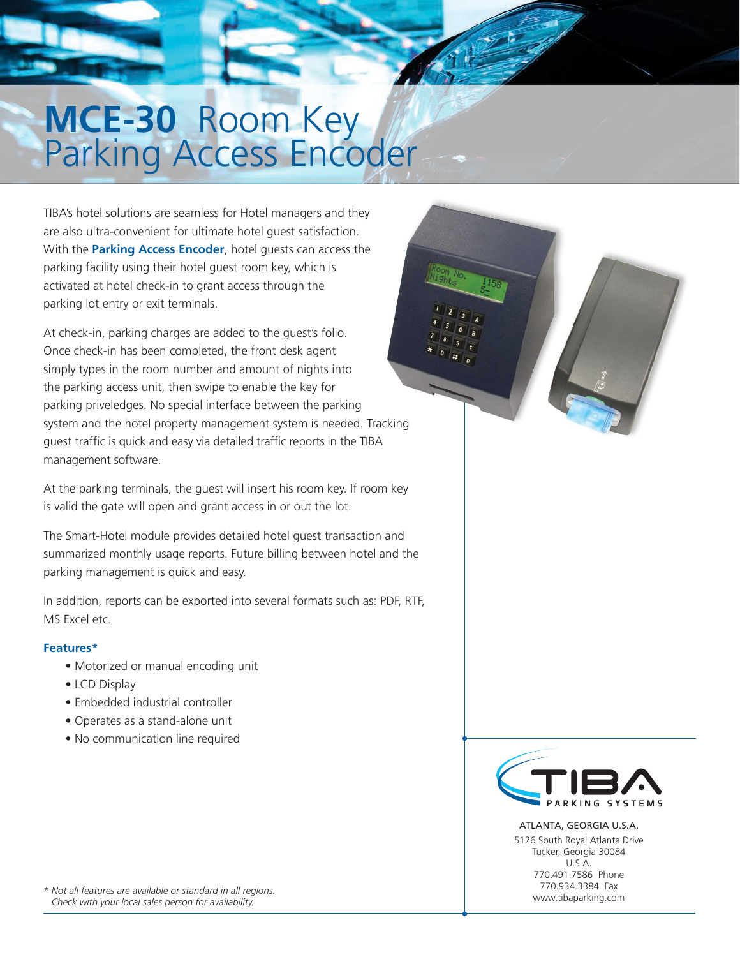# **MCE-30** Room Key<br>Parking Access Encoder

TIBA's hotel solutions are seamless for Hotel managers and they are also ultra-convenient for ultimate hotel guest satisfaction. With the **Parking Access Encoder**, hotel guests can access the parking facility using their hotel guest room key, which is activated at hotel check-in to grant access through the parking lot entry or exit terminals.

At check-in, parking charges are added to the guest's folio. Once check-in has been completed, the front desk agent simply types in the room number and amount of nights into the parking access unit, then swipe to enable the key for parking priveledges. No special interface between the parking system and the hotel property management system is needed. Tracking guest traffic is quick and easy via detailed traffic reports in the TIBA management software.

At the parking terminals, the guest will insert his room key. If room key is valid the gate will open and grant access in or out the lot.

The Smart-Hotel module provides detailed hotel guest transaction and summarized monthly usage reports. Future billing between hotel and the parking management is quick and easy.

In addition, reports can be exported into several formats such as: PDF, RTF, MS Excel etc.

## **Features\***

- Motorized or manual encoding unit
- LCD Display
- Embedded industrial controller
- Operates as a stand-alone unit
- No communication line required

*\* Not all features are available or standard in all regions. Check with your local sales person for availability.* 



ATLANTA, GEORGIA U.S.A. 5126 South Royal Atlanta Drive Tucker, Georgia 30084 U.S.A. 770.491.7586 Phone 770.934.3384 Fax www.tibaparking.com